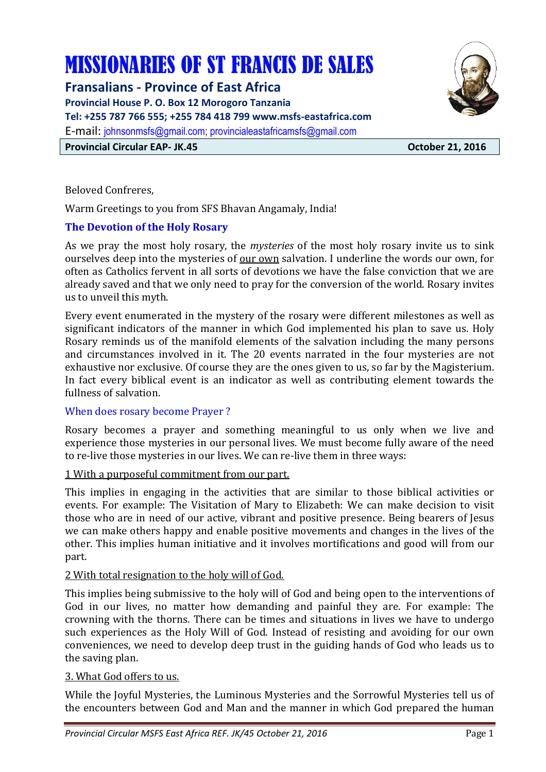# MISSIONARIES OF ST FRANCIS DE SALES

**Fransalians - Province of East Africa** 

**Provincial House P. O. Box 12 Morogoro Tanzania** 

**Tel: +255 787 766 555; +255 784 418 799 www.msfs-eastafrica.com** 

E-mail: johnsonmsfs@gmail.com; provincialeastafricamsfs@gmail.com

**Provincial Circular EAP- JK.45 Construction Circular EAP- JK.45 October 21, 2016** 

Beloved Confreres,

Warm Greetings to you from SFS Bhavan Angamaly, India!

# **The Devotion of the Holy Rosary**

As we pray the most holy rosary, the *mysteries* of the most holy rosary invite us to sink ourselves deep into the mysteries of our own salvation. I underline the words our own, for often as Catholics fervent in all sorts of devotions we have the false conviction that we are already saved and that we only need to pray for the conversion of the world. Rosary invites us to unveil this myth.

Every event enumerated in the mystery of the rosary were different milestones as well as significant indicators of the manner in which God implemented his plan to save us. Holy Rosary reminds us of the manifold elements of the salvation including the many persons and circumstances involved in it. The 20 events narrated in the four mysteries are not exhaustive nor exclusive. Of course they are the ones given to us, so far by the Magisterium. In fact every biblical event is an indicator as well as contributing element towards the fullness of salvation.

## When does rosary become Prayer ?

Rosary becomes a prayer and something meaningful to us only when we live and experience those mysteries in our personal lives. We must become fully aware of the need to re-live those mysteries in our lives. We can re-live them in three ways:

## 1 With a purposeful commitment from our part.

This implies in engaging in the activities that are similar to those biblical activities or events. For example: The Visitation of Mary to Elizabeth: We can make decision to visit those who are in need of our active, vibrant and positive presence. Being bearers of Jesus we can make others happy and enable positive movements and changes in the lives of the other. This implies human initiative and it involves mortifications and good will from our part.

## 2 With total resignation to the holy will of God.

This implies being submissive to the holy will of God and being open to the interventions of God in our lives, no matter how demanding and painful they are. For example: The crowning with the thorns. There can be times and situations in lives we have to undergo such experiences as the Holy Will of God. Instead of resisting and avoiding for our own conveniences, we need to develop deep trust in the guiding hands of God who leads us to the saving plan.

#### 3. What God offers to us.

While the Joyful Mysteries, the Luminous Mysteries and the Sorrowful Mysteries tell us of the encounters between God and Man and the manner in which God prepared the human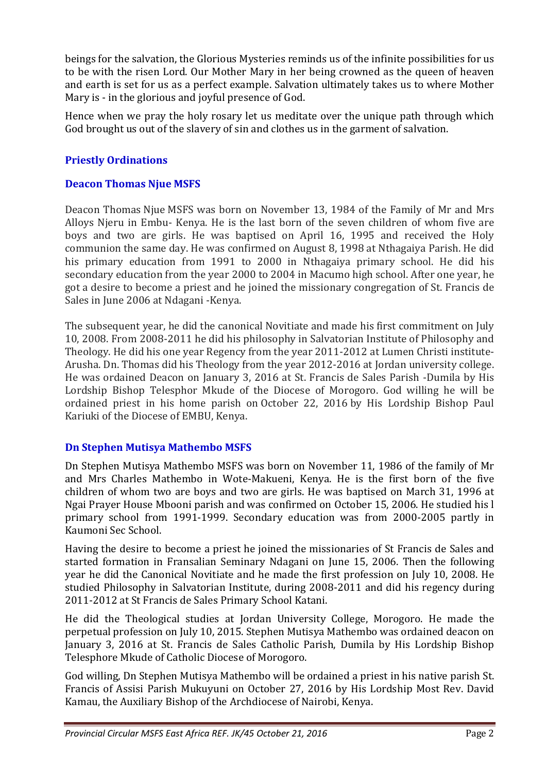beings for the salvation, the Glorious Mysteries reminds us of the infinite possibilities for us to be with the risen Lord. Our Mother Mary in her being crowned as the queen of heaven and earth is set for us as a perfect example. Salvation ultimately takes us to where Mother Mary is - in the glorious and joyful presence of God.

Hence when we pray the holy rosary let us meditate over the unique path through which God brought us out of the slavery of sin and clothes us in the garment of salvation.

# **Priestly Ordinations**

## **Deacon Thomas Njue MSFS**

Deacon Thomas Njue MSFS was born on November 13, 1984 of the Family of Mr and Mrs Alloys Njeru in Embu- Kenya. He is the last born of the seven children of whom five are boys and two are girls. He was baptised on April 16, 1995 and received the Holy communion the same day. He was confirmed on August 8, 1998 at Nthagaiya Parish. He did his primary education from 1991 to 2000 in Nthagaiya primary school. He did his secondary education from the year 2000 to 2004 in Macumo high school. After one year, he got a desire to become a priest and he joined the missionary congregation of St. Francis de Sales in June 2006 at Ndagani -Kenya.

The subsequent year, he did the canonical Novitiate and made his first commitment on July 10, 2008. From 2008-2011 he did his philosophy in Salvatorian Institute of Philosophy and Theology. He did his one year Regency from the year 2011-2012 at Lumen Christi institute-Arusha. Dn. Thomas did his Theology from the year 2012-2016 at Jordan university college. He was ordained Deacon on January 3, 2016 at St. Francis de Sales Parish -Dumila by His Lordship Bishop Telesphor Mkude of the Diocese of Morogoro. God willing he will be ordained priest in his home parish on October 22, 2016 by His Lordship Bishop Paul Kariuki of the Diocese of EMBU, Kenya.

## **Dn Stephen Mutisya Mathembo MSFS**

Dn Stephen Mutisya Mathembo MSFS was born on November 11, 1986 of the family of Mr and Mrs Charles Mathembo in Wote-Makueni, Kenya. He is the first born of the five children of whom two are boys and two are girls. He was baptised on March 31, 1996 at Ngai Prayer House Mbooni parish and was confirmed on October 15, 2006. He studied his l primary school from 1991-1999. Secondary education was from 2000-2005 partly in Kaumoni Sec School.

Having the desire to become a priest he joined the missionaries of St Francis de Sales and started formation in Fransalian Seminary Ndagani on June 15, 2006. Then the following year he did the Canonical Novitiate and he made the first profession on July 10, 2008. He studied Philosophy in Salvatorian Institute, during 2008-2011 and did his regency during 2011-2012 at St Francis de Sales Primary School Katani.

He did the Theological studies at Jordan University College, Morogoro. He made the perpetual profession on July 10, 2015. Stephen Mutisya Mathembo was ordained deacon on January 3, 2016 at St. Francis de Sales Catholic Parish, Dumila by His Lordship Bishop Telesphore Mkude of Catholic Diocese of Morogoro.

God willing, Dn Stephen Mutisya Mathembo will be ordained a priest in his native parish St. Francis of Assisi Parish Mukuyuni on October 27, 2016 by His Lordship Most Rev. David Kamau, the Auxiliary Bishop of the Archdiocese of Nairobi, Kenya.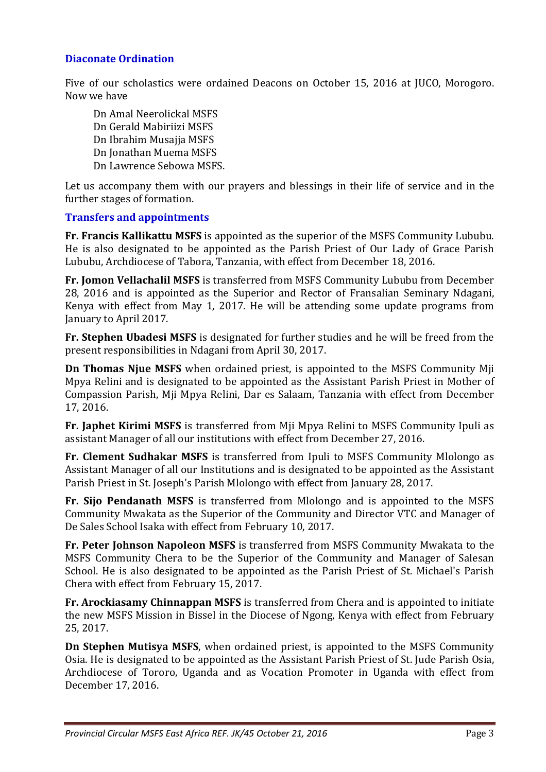## **Diaconate Ordination**

Five of our scholastics were ordained Deacons on October 15, 2016 at JUCO, Morogoro. Now we have

 Dn Amal Neerolickal MSFS Dn Gerald Mabiriizi MSFS Dn Ibrahim Musajja MSFS Dn Jonathan Muema MSFS Dn Lawrence Sebowa MSFS.

Let us accompany them with our prayers and blessings in their life of service and in the further stages of formation.

#### **Transfers and appointments**

**Fr. Francis Kallikattu MSFS** is appointed as the superior of the MSFS Community Lububu. He is also designated to be appointed as the Parish Priest of Our Lady of Grace Parish Lububu, Archdiocese of Tabora, Tanzania, with effect from December 18, 2016.

**Fr. Jomon Vellachalil MSFS** is transferred from MSFS Community Lububu from December 28, 2016 and is appointed as the Superior and Rector of Fransalian Seminary Ndagani, Kenya with effect from May 1, 2017. He will be attending some update programs from January to April 2017.

**Fr. Stephen Ubadesi MSFS** is designated for further studies and he will be freed from the present responsibilities in Ndagani from April 30, 2017.

**Dn Thomas Njue MSFS** when ordained priest, is appointed to the MSFS Community Mji Mpya Relini and is designated to be appointed as the Assistant Parish Priest in Mother of Compassion Parish, Mji Mpya Relini, Dar es Salaam, Tanzania with effect from December 17, 2016.

**Fr. Japhet Kirimi MSFS** is transferred from Mji Mpya Relini to MSFS Community Ipuli as assistant Manager of all our institutions with effect from December 27, 2016.

**Fr. Clement Sudhakar MSFS** is transferred from Ipuli to MSFS Community Mlolongo as Assistant Manager of all our Institutions and is designated to be appointed as the Assistant Parish Priest in St. Joseph's Parish Mlolongo with effect from January 28, 2017.

**Fr. Sijo Pendanath MSFS** is transferred from Mlolongo and is appointed to the MSFS Community Mwakata as the Superior of the Community and Director VTC and Manager of De Sales School Isaka with effect from February 10, 2017.

**Fr. Peter Johnson Napoleon MSFS** is transferred from MSFS Community Mwakata to the MSFS Community Chera to be the Superior of the Community and Manager of Salesan School. He is also designated to be appointed as the Parish Priest of St. Michael's Parish Chera with effect from February 15, 2017.

**Fr. Arockiasamy Chinnappan MSFS** is transferred from Chera and is appointed to initiate the new MSFS Mission in Bissel in the Diocese of Ngong, Kenya with effect from February 25, 2017.

**Dn Stephen Mutisya MSFS**, when ordained priest, is appointed to the MSFS Community Osia. He is designated to be appointed as the Assistant Parish Priest of St. Jude Parish Osia, Archdiocese of Tororo, Uganda and as Vocation Promoter in Uganda with effect from December 17, 2016.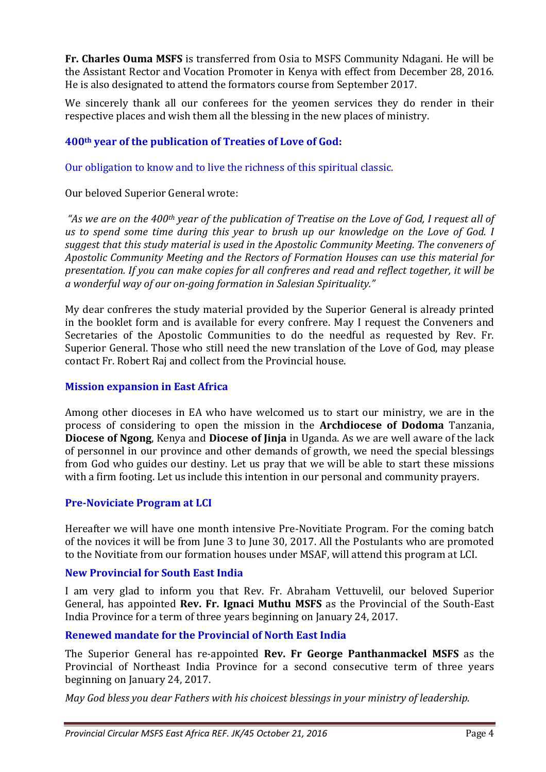**Fr. Charles Ouma MSFS** is transferred from Osia to MSFS Community Ndagani. He will be the Assistant Rector and Vocation Promoter in Kenya with effect from December 28, 2016. He is also designated to attend the formators course from September 2017.

We sincerely thank all our conferees for the yeomen services they do render in their respective places and wish them all the blessing in the new places of ministry.

### **400th year of the publication of Treaties of Love of God:**

Our obligation to know and to live the richness of this spiritual classic.

Our beloved Superior General wrote:

 *"As we are on the 400th year of the publication of Treatise on the Love of God, I request all of us to spend some time during this year to brush up our knowledge on the Love of God. I suggest that this study material is used in the Apostolic Community Meeting. The conveners of Apostolic Community Meeting and the Rectors of Formation Houses can use this material for presentation. If you can make copies for all confreres and read and reflect together, it will be a wonderful way of our on-going formation in Salesian Spirituality."* 

My dear confreres the study material provided by the Superior General is already printed in the booklet form and is available for every confrere. May I request the Conveners and Secretaries of the Apostolic Communities to do the needful as requested by Rev. Fr. Superior General. Those who still need the new translation of the Love of God, may please contact Fr. Robert Raj and collect from the Provincial house.

#### **Mission expansion in East Africa**

Among other dioceses in EA who have welcomed us to start our ministry, we are in the process of considering to open the mission in the **Archdiocese of Dodoma** Tanzania, **Diocese of Ngong**, Kenya and **Diocese of Jinja** in Uganda. As we are well aware of the lack of personnel in our province and other demands of growth, we need the special blessings from God who guides our destiny. Let us pray that we will be able to start these missions with a firm footing. Let us include this intention in our personal and community prayers.

#### **Pre-Noviciate Program at LCI**

Hereafter we will have one month intensive Pre-Novitiate Program. For the coming batch of the novices it will be from June 3 to June 30, 2017. All the Postulants who are promoted to the Novitiate from our formation houses under MSAF, will attend this program at LCI.

#### **New Provincial for South East India**

I am very glad to inform you that Rev. Fr. Abraham Vettuvelil, our beloved Superior General, has appointed **Rev. Fr. Ignaci Muthu MSFS** as the Provincial of the South-East India Province for a term of three years beginning on January 24, 2017.

#### **Renewed mandate for the Provincial of North East India**

The Superior General has re-appointed **Rev. Fr George Panthanmackel MSFS** as the Provincial of Northeast India Province for a second consecutive term of three years beginning on January 24, 2017.

*May God bless you dear Fathers with his choicest blessings in your ministry of leadership.*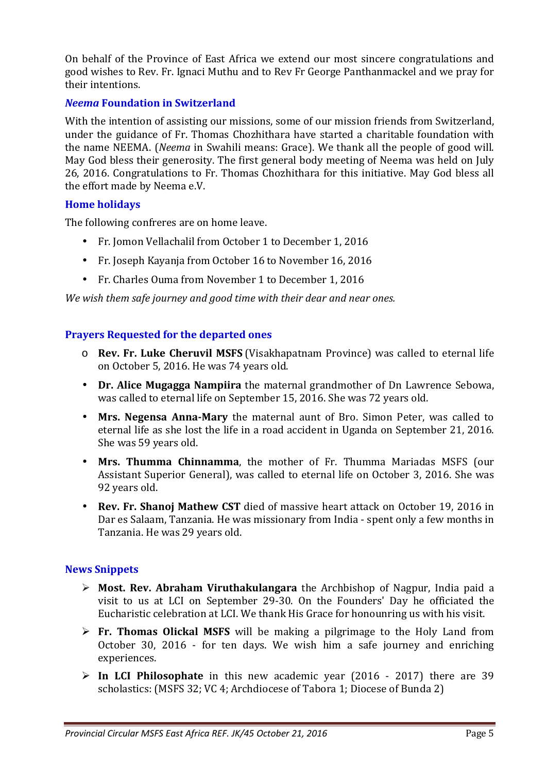On behalf of the Province of East Africa we extend our most sincere congratulations and good wishes to Rev. Fr. Ignaci Muthu and to Rev Fr George Panthanmackel and we pray for their intentions.

## *Neema* **Foundation in Switzerland**

With the intention of assisting our missions, some of our mission friends from Switzerland, under the guidance of Fr. Thomas Chozhithara have started a charitable foundation with the name NEEMA. (*Neema* in Swahili means: Grace). We thank all the people of good will. May God bless their generosity. The first general body meeting of Neema was held on July 26, 2016. Congratulations to Fr. Thomas Chozhithara for this initiative. May God bless all the effort made by Neema e.V.

# **Home holidays**

The following confreres are on home leave.

- Fr. Jomon Vellachalil from October 1 to December 1, 2016
- Fr. Joseph Kayanja from October 16 to November 16, 2016
- Fr. Charles Ouma from November 1 to December 1, 2016

*We wish them safe journey and good time with their dear and near ones.* 

# **Prayers Requested for the departed ones**

- o **Rev. Fr. Luke Cheruvil MSFS** (Visakhapatnam Province) was called to eternal life on October 5, 2016. He was 74 years old.
- **Dr. Alice Mugagga Nampiira** the maternal grandmother of Dn Lawrence Sebowa, was called to eternal life on September 15, 2016. She was 72 years old.
- **Mrs. Negensa Anna-Mary** the maternal aunt of Bro. Simon Peter, was called to eternal life as she lost the life in a road accident in Uganda on September 21, 2016. She was 59 years old.
- **Mrs. Thumma Chinnamma**, the mother of Fr. Thumma Mariadas MSFS (our Assistant Superior General), was called to eternal life on October 3, 2016. She was 92 years old.
- **Rev. Fr. Shanoj Mathew CST** died of massive heart attack on October 19, 2016 in Dar es Salaam, Tanzania. He was missionary from India - spent only a few months in Tanzania. He was 29 years old.

## **News Snippets**

- **Most. Rev. Abraham Viruthakulangara** the Archbishop of Nagpur, India paid a visit to us at LCI on September 29-30. On the Founders' Day he officiated the Eucharistic celebration at LCI. We thank His Grace for honounring us with his visit.
- **Fr. Thomas Olickal MSFS** will be making a pilgrimage to the Holy Land from October 30, 2016 - for ten days. We wish him a safe journey and enriching experiences.
- **In LCI Philosophate** in this new academic year (2016 2017) there are 39 scholastics: (MSFS 32; VC 4; Archdiocese of Tabora 1; Diocese of Bunda 2)